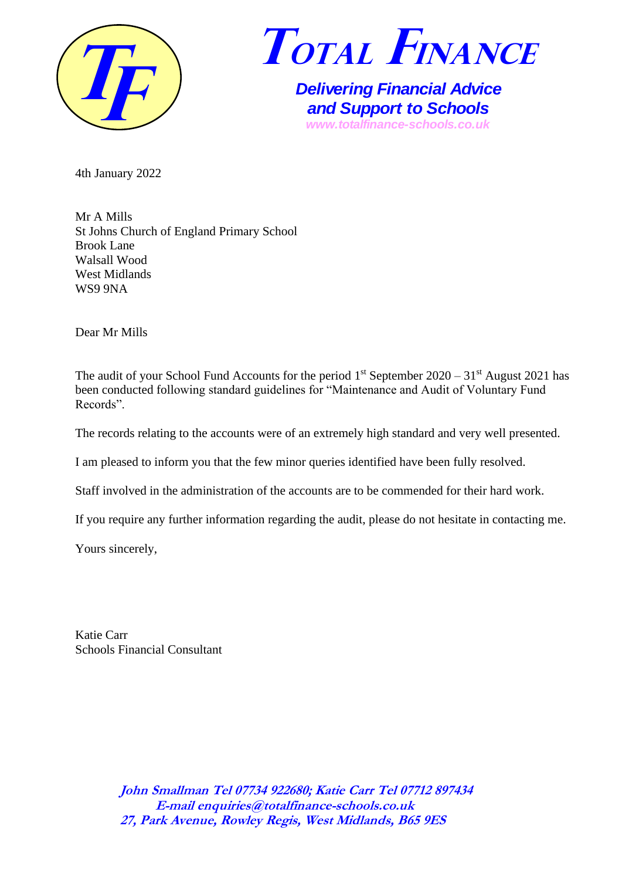



*Delivering Financial Advice and Support to Schools www.totalfinance-schools.co.uk*

4th January 2022

Mr A Mills St Johns Church of England Primary School Brook Lane Walsall Wood West Midlands WS9 9NA

Dear Mr Mills

The audit of your School Fund Accounts for the period  $1<sup>st</sup>$  September 2020 – 31 $<sup>st</sup>$  August 2021 has</sup> been conducted following standard guidelines for "Maintenance and Audit of Voluntary Fund Records".

The records relating to the accounts were of an extremely high standard and very well presented.

I am pleased to inform you that the few minor queries identified have been fully resolved.

Staff involved in the administration of the accounts are to be commended for their hard work.

If you require any further information regarding the audit, please do not hesitate in contacting me.

Yours sincerely,

Katie Carr Schools Financial Consultant

> **John Smallman Tel 07734 922680; Katie Carr Tel 07712 897434 E-mail enquiries@totalfinance-schools.co.uk 27, Park Avenue, Rowley Regis, West Midlands, B65 9ES**